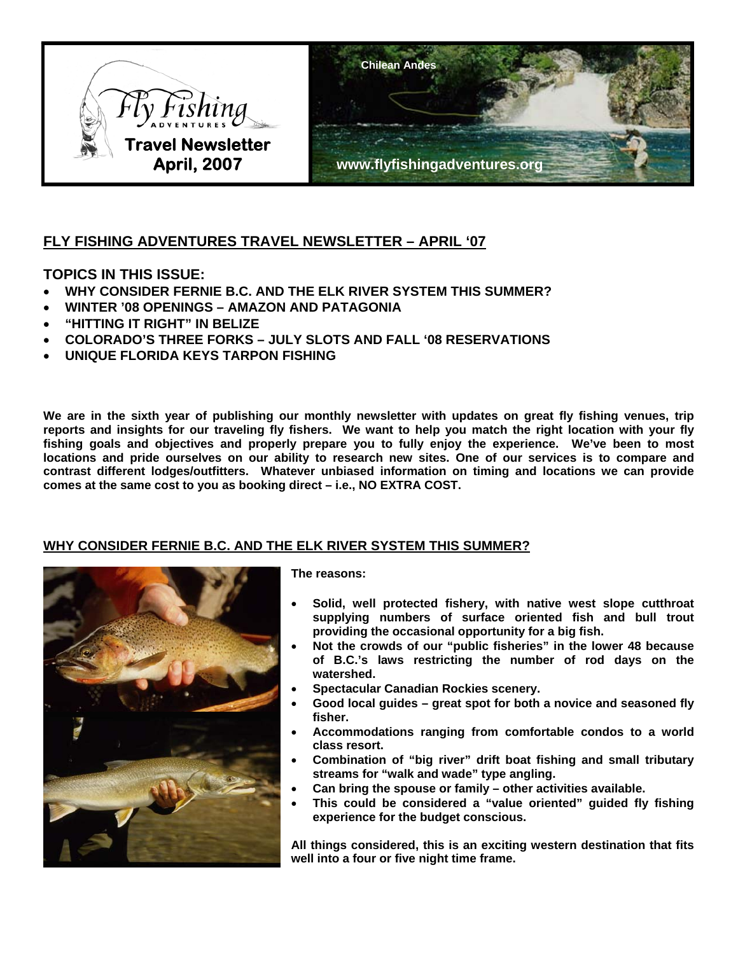

# **FLY FISHING ADVENTURES TRAVEL NEWSLETTER – APRIL '07**

# **TOPICS IN THIS ISSUE:**

- **WHY CONSIDER FERNIE B.C. AND THE ELK RIVER SYSTEM THIS SUMMER?**
- **WINTER '08 OPENINGS AMAZON AND PATAGONIA**
- **"HITTING IT RIGHT" IN BELIZE**
- **COLORADO'S THREE FORKS JULY SLOTS AND FALL '08 RESERVATIONS**
- **UNIQUE FLORIDA KEYS TARPON FISHING**

**We are in the sixth year of publishing our monthly newsletter with updates on great fly fishing venues, trip reports and insights for our traveling fly fishers. We want to help you match the right location with your fly fishing goals and objectives and properly prepare you to fully enjoy the experience. We've been to most locations and pride ourselves on our ability to research new sites. One of our services is to compare and contrast different lodges/outfitters. Whatever unbiased information on timing and locations we can provide comes at the same cost to you as booking direct – i.e., NO EXTRA COST.** 

# **WHY CONSIDER FERNIE B.C. AND THE ELK RIVER SYSTEM THIS SUMMER?**



**The reasons:** 

- **Solid, well protected fishery, with native west slope cutthroat supplying numbers of surface oriented fish and bull trout providing the occasional opportunity for a big fish.**
- **Not the crowds of our "public fisheries" in the lower 48 because of B.C.'s laws restricting the number of rod days on the watershed.**
- **Spectacular Canadian Rockies scenery.**
- **Good local guides great spot for both a novice and seasoned fly fisher.**
- **Accommodations ranging from comfortable condos to a world class resort.**
- **Combination of "big river" drift boat fishing and small tributary streams for "walk and wade" type angling.**
- **Can bring the spouse or family other activities available.**
- **This could be considered a "value oriented" guided fly fishing experience for the budget conscious.**

**All things considered, this is an exciting western destination that fits well into a four or five night time frame.**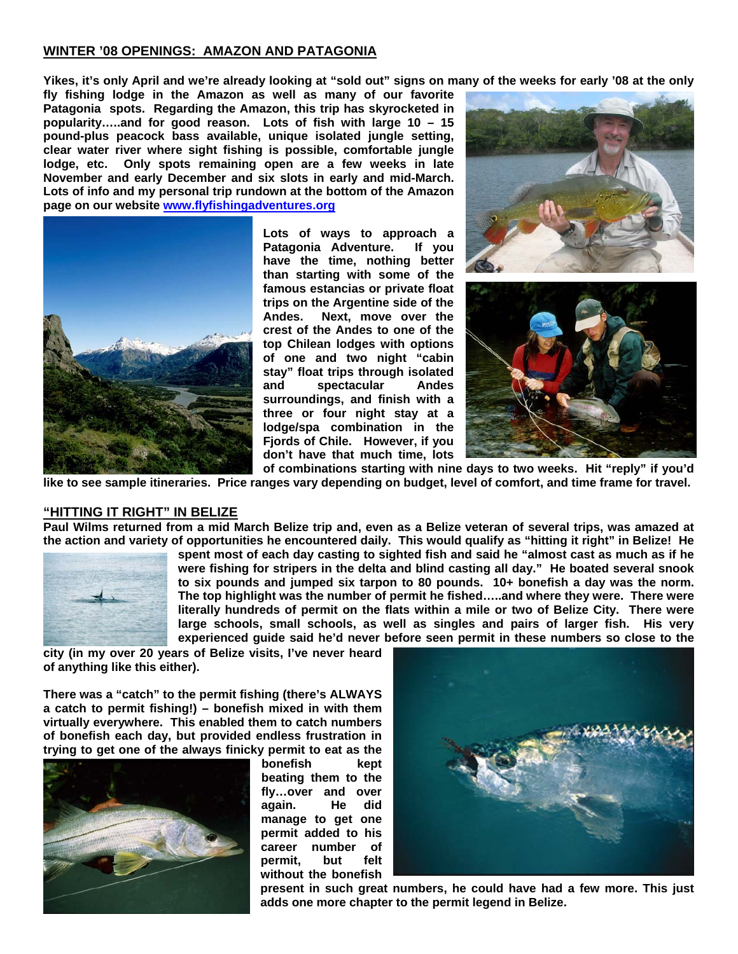#### **WINTER '08 OPENINGS: AMAZON AND PATAGONIA**

**Yikes, it's only April and we're already looking at "sold out" signs on many of the weeks for early '08 at the only** 

**fly fishing lodge in the Amazon as well as many of our favorite Patagonia spots. Regarding the Amazon, this trip has skyrocketed in popularity…..and for good reason. Lots of fish with large 10 – 15 pound-plus peacock bass available, unique isolated jungle setting, clear water river where sight fishing is possible, comfortable jungle lodge, etc. Only spots remaining open are a few weeks in late November and early December and six slots in early and mid-March. Lots of info and my personal trip rundown at the bottom of the Amazon page on our website [www.flyfishingadventures.org](http://www.flyfishingadventures.org/)**



**Lots of ways to approach a Patagonia Adventure. If you have the time, nothing better than starting with some of the famous estancias or private float trips on the Argentine side of the Andes. Next, move over the crest of the Andes to one of the top Chilean lodges with options of one and two night "cabin stay" float trips through isolated and spectacular Andes surroundings, and finish with a three or four night stay at a lodge/spa combination in the Fjords of Chile. However, if you don't have that much time, lots** 





**of combinations starting with nine days to two weeks. Hit "reply" if you'd like to see sample itineraries. Price ranges vary depending on budget, level of comfort, and time frame for travel.** 

### **"HITTING IT RIGHT" IN BELIZE**

**Paul Wilms returned from a mid March Belize trip and, even as a Belize veteran of several trips, was amazed at the action and variety of opportunities he encountered daily. This would qualify as "hitting it right" in Belize! He** 



**spent most of each day casting to sighted fish and said he "almost cast as much as if he were fishing for stripers in the delta and blind casting all day." He boated several snook to six pounds and jumped six tarpon to 80 pounds. 10+ bonefish a day was the norm. The top highlight was the number of permit he fished…..and where they were. There were literally hundreds of permit on the flats within a mile or two of Belize City. There were large schools, small schools, as well as singles and pairs of larger fish. His very experienced guide said he'd never before seen permit in these numbers so close to the** 

**city (in my over 20 years of Belize visits, I've never heard of anything like this either).** 

**There was a "catch" to the permit fishing (there's ALWAYS a catch to permit fishing!) – bonefish mixed in with them virtually everywhere. This enabled them to catch numbers of bonefish each day, but provided endless frustration in trying to get one of the always finicky permit to eat as the** 



**bonefish kept beating them to the fly…over and over again. He did manage to get one permit added to his career number of permit, but felt without the bonefish** 



**present in such great numbers, he could have had a few more. This just adds one more chapter to the permit legend in Belize.**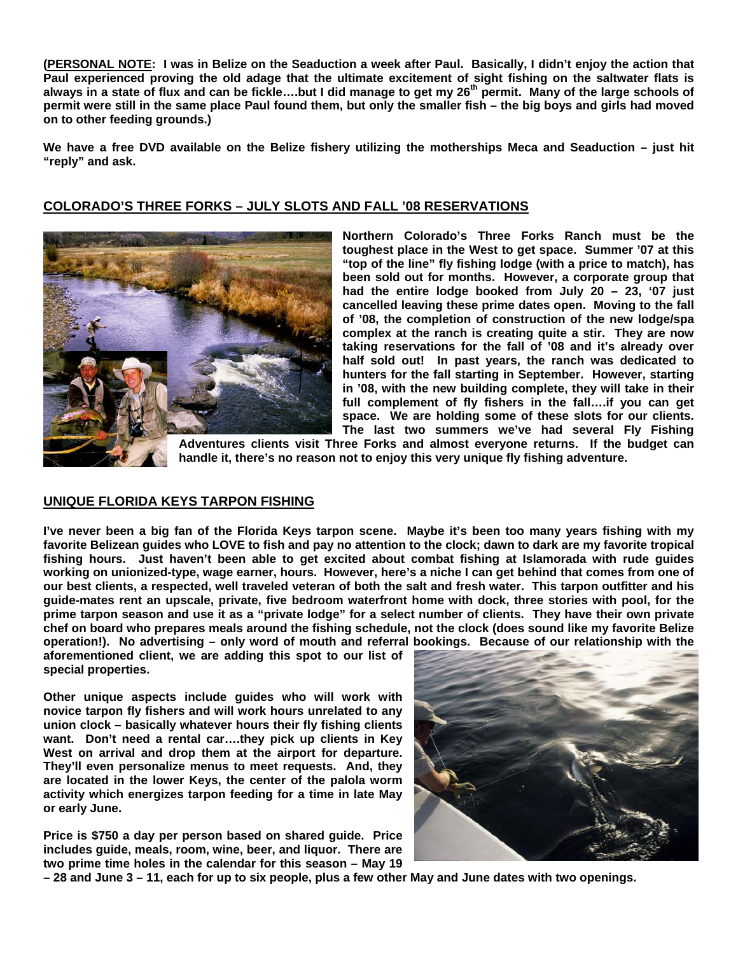**(PERSONAL NOTE: I was in Belize on the Seaduction a week after Paul. Basically, I didn't enjoy the action that Paul experienced proving the old adage that the ultimate excitement of sight fishing on the saltwater flats is always in a state of flux and can be fickle….but I did manage to get my 26th permit. Many of the large schools of permit were still in the same place Paul found them, but only the smaller fish – the big boys and girls had moved on to other feeding grounds.)** 

**We have a free DVD available on the Belize fishery utilizing the motherships Meca and Seaduction – just hit "reply" and ask.** 

## **COLORADO'S THREE FORKS – JULY SLOTS AND FALL '08 RESERVATIONS**



**Northern Colorado's Three Forks Ranch must be the toughest place in the West to get space. Summer '07 at this "top of the line" fly fishing lodge (with a price to match), has been sold out for months. However, a corporate group that had the entire lodge booked from July 20 – 23, '07 just cancelled leaving these prime dates open. Moving to the fall of '08, the completion of construction of the new lodge/spa complex at the ranch is creating quite a stir. They are now taking reservations for the fall of '08 and it's already over half sold out! In past years, the ranch was dedicated to hunters for the fall starting in September. However, starting in '08, with the new building complete, they will take in their full complement of fly fishers in the fall….if you can get space. We are holding some of these slots for our clients. The last two summers we've had several Fly Fishing** 

**Adventures clients visit Three Forks and almost everyone returns. If the budget can handle it, there's no reason not to enjoy this very unique fly fishing adventure.** 

#### **UNIQUE FLORIDA KEYS TARPON FISHING**

**I've never been a big fan of the Florida Keys tarpon scene. Maybe it's been too many years fishing with my favorite Belizean guides who LOVE to fish and pay no attention to the clock; dawn to dark are my favorite tropical fishing hours. Just haven't been able to get excited about combat fishing at Islamorada with rude guides working on unionized-type, wage earner, hours. However, here's a niche I can get behind that comes from one of our best clients, a respected, well traveled veteran of both the salt and fresh water. This tarpon outfitter and his guide-mates rent an upscale, private, five bedroom waterfront home with dock, three stories with pool, for the prime tarpon season and use it as a "private lodge" for a select number of clients. They have their own private chef on board who prepares meals around the fishing schedule, not the clock (does sound like my favorite Belize operation!). No advertising – only word of mouth and referral bookings. Because of our relationship with the** 

**aforementioned client, we are adding this spot to our list of special properties.** 

**Other unique aspects include guides who will work with novice tarpon fly fishers and will work hours unrelated to any union clock – basically whatever hours their fly fishing clients want. Don't need a rental car….they pick up clients in Key West on arrival and drop them at the airport for departure. They'll even personalize menus to meet requests. And, they are located in the lower Keys, the center of the palola worm activity which energizes tarpon feeding for a time in late May or early June.** 

**Price is \$750 a day per person based on shared guide. Price includes guide, meals, room, wine, beer, and liquor. There are two prime time holes in the calendar for this season – May 19** 



**– 28 and June 3 – 11, each for up to six people, plus a few other May and June dates with two openings.**